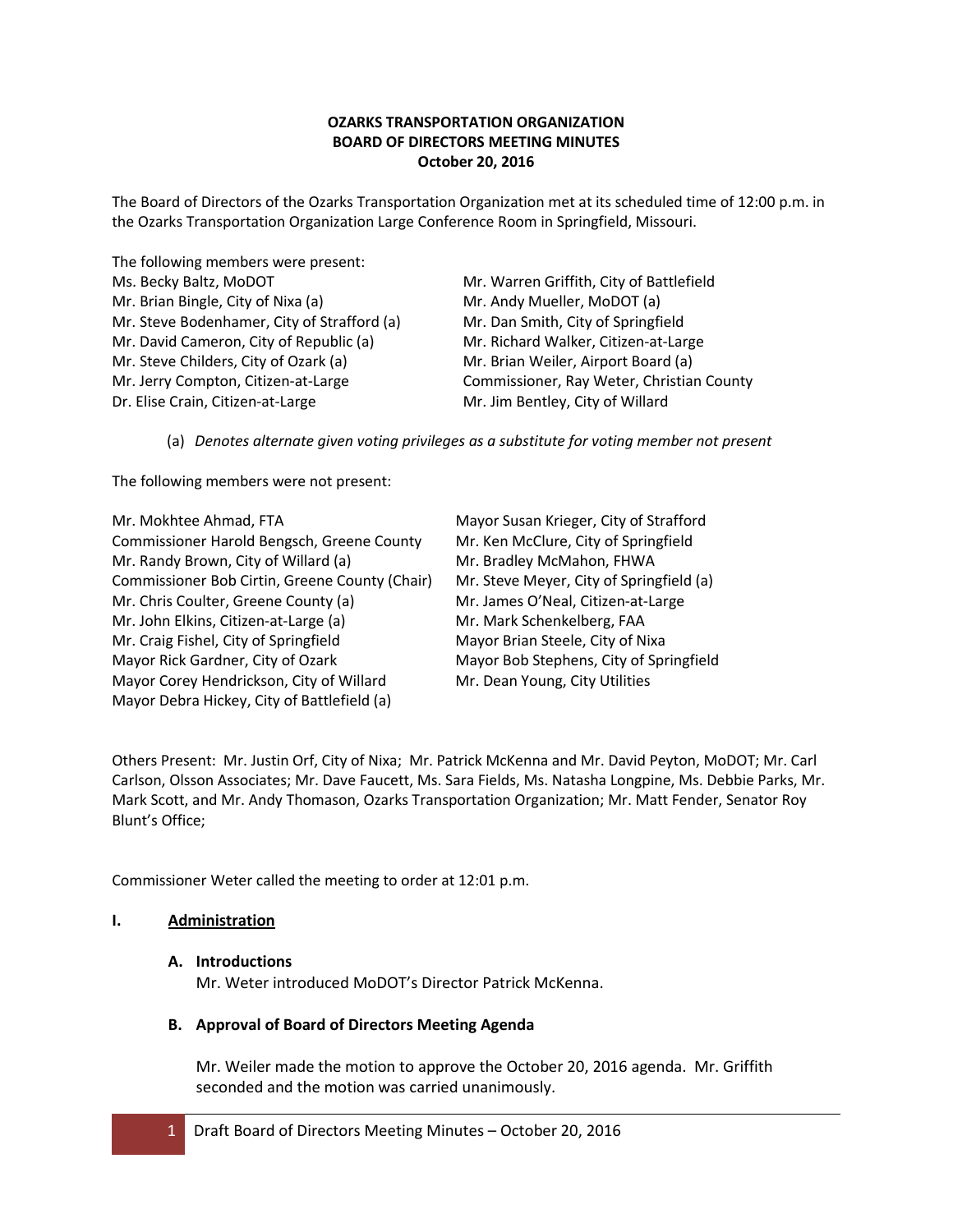# **OZARKS TRANSPORTATION ORGANIZATION BOARD OF DIRECTORS MEETING MINUTES October 20, 2016**

The Board of Directors of the Ozarks Transportation Organization met at its scheduled time of 12:00 p.m. in the Ozarks Transportation Organization Large Conference Room in Springfield, Missouri.

The following members were present: Ms. Becky Baltz, MoDOT Mr. Warren Griffith, City of Battlefield Mr. Brian Bingle, City of Nixa (a) Mr. Andy Mueller, MoDOT (a) Mr. Steve Bodenhamer, City of Strafford (a) Mr. Dan Smith, City of Springfield Mr. David Cameron, City of Republic (a) Mr. Richard Walker, Citizen-at-Large Mr. Steve Childers, City of Ozark (a) Mr. Brian Weiler, Airport Board (a) Mr. Jerry Compton, Citizen-at-Large Commissioner, Ray Weter, Christian County Dr. Elise Crain, Citizen-at-Large Mr. Jim Bentley, City of Willard

(a) *Denotes alternate given voting privileges as a substitute for voting member not present*

The following members were not present:

Mr. Mokhtee Ahmad, FTA Mayor Susan Krieger, City of Strafford Commissioner Harold Bengsch, Greene County Mr. Ken McClure, City of Springfield Mr. Randy Brown, City of Willard (a) Mr. Bradley McMahon, FHWA Commissioner Bob Cirtin, Greene County (Chair) Mr. Steve Meyer, City of Springfield (a) Mr. Chris Coulter, Greene County (a) Mr. James O'Neal, Citizen-at-Large Mr. John Elkins, Citizen-at-Large (a) Mr. Mark Schenkelberg, FAA Mr. Craig Fishel, City of Springfield Mayor Brian Steele, City of Nixa Mayor Rick Gardner, City of Ozark Mayor Bob Stephens, City of Springfield Mayor Corey Hendrickson, City of Willard Mr. Dean Young, City Utilities Mayor Debra Hickey, City of Battlefield (a)

Others Present: Mr. Justin Orf, City of Nixa; Mr. Patrick McKenna and Mr. David Peyton, MoDOT; Mr. Carl Carlson, Olsson Associates; Mr. Dave Faucett, Ms. Sara Fields, Ms. Natasha Longpine, Ms. Debbie Parks, Mr. Mark Scott, and Mr. Andy Thomason, Ozarks Transportation Organization; Mr. Matt Fender, Senator Roy Blunt's Office;

Commissioner Weter called the meeting to order at 12:01 p.m.

# **I. Administration**

# **A. Introductions**

Mr. Weter introduced MoDOT's Director Patrick McKenna.

# **B. Approval of Board of Directors Meeting Agenda**

Mr. Weiler made the motion to approve the October 20, 2016 agenda. Mr. Griffith seconded and the motion was carried unanimously.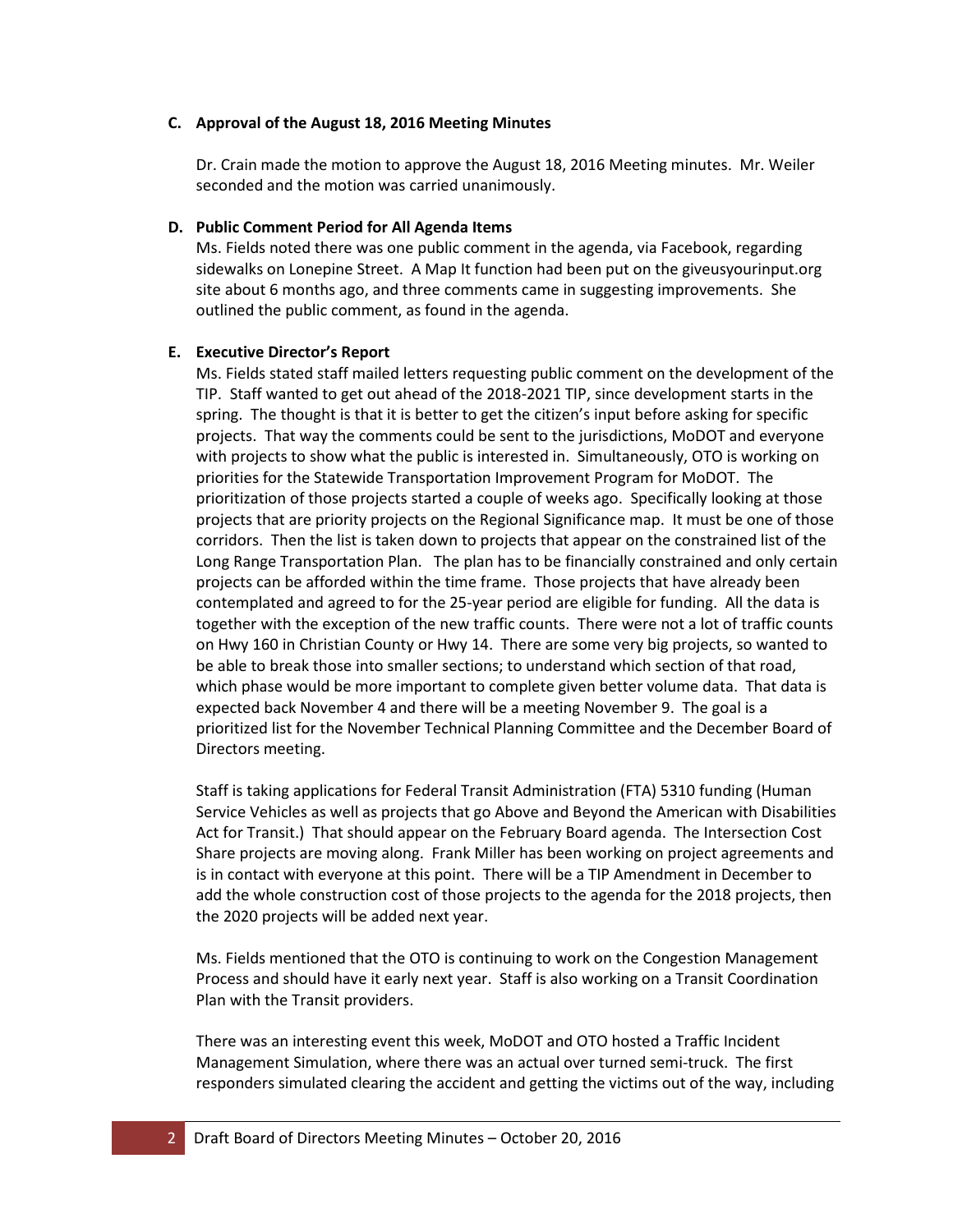### **C. Approval of the August 18, 2016 Meeting Minutes**

Dr. Crain made the motion to approve the August 18, 2016 Meeting minutes. Mr. Weiler seconded and the motion was carried unanimously.

### **D. Public Comment Period for All Agenda Items**

Ms. Fields noted there was one public comment in the agenda, via Facebook, regarding sidewalks on Lonepine Street. A Map It function had been put on the giveusyourinput.org site about 6 months ago, and three comments came in suggesting improvements. She outlined the public comment, as found in the agenda.

## **E. Executive Director's Report**

Ms. Fields stated staff mailed letters requesting public comment on the development of the TIP. Staff wanted to get out ahead of the 2018-2021 TIP, since development starts in the spring. The thought is that it is better to get the citizen's input before asking for specific projects. That way the comments could be sent to the jurisdictions, MoDOT and everyone with projects to show what the public is interested in. Simultaneously, OTO is working on priorities for the Statewide Transportation Improvement Program for MoDOT. The prioritization of those projects started a couple of weeks ago. Specifically looking at those projects that are priority projects on the Regional Significance map. It must be one of those corridors. Then the list is taken down to projects that appear on the constrained list of the Long Range Transportation Plan. The plan has to be financially constrained and only certain projects can be afforded within the time frame. Those projects that have already been contemplated and agreed to for the 25-year period are eligible for funding. All the data is together with the exception of the new traffic counts. There were not a lot of traffic counts on Hwy 160 in Christian County or Hwy 14. There are some very big projects, so wanted to be able to break those into smaller sections; to understand which section of that road, which phase would be more important to complete given better volume data. That data is expected back November 4 and there will be a meeting November 9. The goal is a prioritized list for the November Technical Planning Committee and the December Board of Directors meeting.

Staff is taking applications for Federal Transit Administration (FTA) 5310 funding (Human Service Vehicles as well as projects that go Above and Beyond the American with Disabilities Act for Transit.) That should appear on the February Board agenda. The Intersection Cost Share projects are moving along. Frank Miller has been working on project agreements and is in contact with everyone at this point. There will be a TIP Amendment in December to add the whole construction cost of those projects to the agenda for the 2018 projects, then the 2020 projects will be added next year.

Ms. Fields mentioned that the OTO is continuing to work on the Congestion Management Process and should have it early next year. Staff is also working on a Transit Coordination Plan with the Transit providers.

There was an interesting event this week, MoDOT and OTO hosted a Traffic Incident Management Simulation, where there was an actual over turned semi-truck. The first responders simulated clearing the accident and getting the victims out of the way, including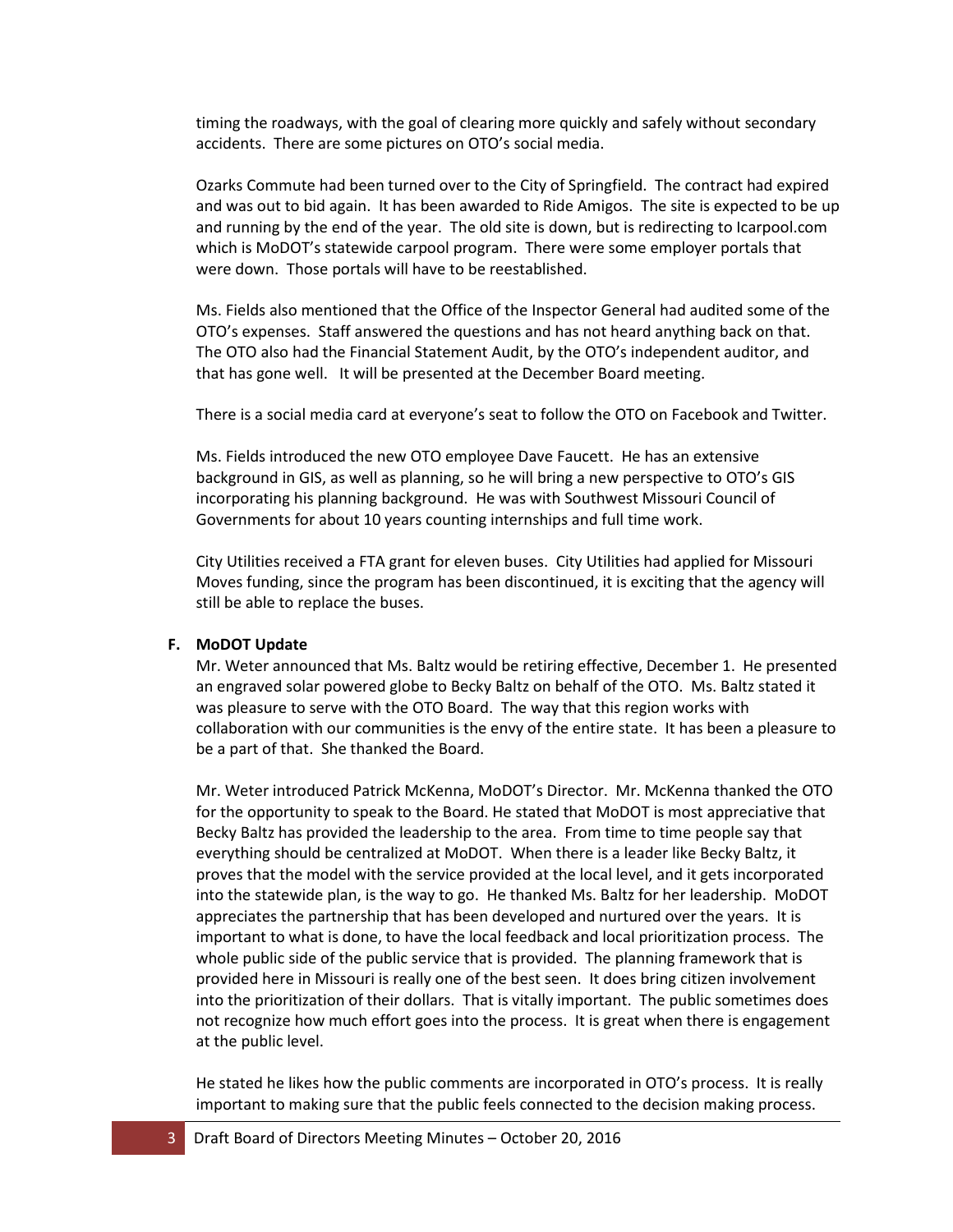timing the roadways, with the goal of clearing more quickly and safely without secondary accidents. There are some pictures on OTO's social media.

Ozarks Commute had been turned over to the City of Springfield. The contract had expired and was out to bid again. It has been awarded to Ride Amigos. The site is expected to be up and running by the end of the year. The old site is down, but is redirecting to Icarpool.com which is MoDOT's statewide carpool program. There were some employer portals that were down. Those portals will have to be reestablished.

Ms. Fields also mentioned that the Office of the Inspector General had audited some of the OTO's expenses. Staff answered the questions and has not heard anything back on that. The OTO also had the Financial Statement Audit, by the OTO's independent auditor, and that has gone well. It will be presented at the December Board meeting.

There is a social media card at everyone's seat to follow the OTO on Facebook and Twitter.

Ms. Fields introduced the new OTO employee Dave Faucett. He has an extensive background in GIS, as well as planning, so he will bring a new perspective to OTO's GIS incorporating his planning background. He was with Southwest Missouri Council of Governments for about 10 years counting internships and full time work.

City Utilities received a FTA grant for eleven buses. City Utilities had applied for Missouri Moves funding, since the program has been discontinued, it is exciting that the agency will still be able to replace the buses.

#### **F. MoDOT Update**

Mr. Weter announced that Ms. Baltz would be retiring effective, December 1. He presented an engraved solar powered globe to Becky Baltz on behalf of the OTO. Ms. Baltz stated it was pleasure to serve with the OTO Board. The way that this region works with collaboration with our communities is the envy of the entire state. It has been a pleasure to be a part of that. She thanked the Board.

Mr. Weter introduced Patrick McKenna, MoDOT's Director. Mr. McKenna thanked the OTO for the opportunity to speak to the Board. He stated that MoDOT is most appreciative that Becky Baltz has provided the leadership to the area. From time to time people say that everything should be centralized at MoDOT. When there is a leader like Becky Baltz, it proves that the model with the service provided at the local level, and it gets incorporated into the statewide plan, is the way to go. He thanked Ms. Baltz for her leadership. MoDOT appreciates the partnership that has been developed and nurtured over the years. It is important to what is done, to have the local feedback and local prioritization process. The whole public side of the public service that is provided. The planning framework that is provided here in Missouri is really one of the best seen. It does bring citizen involvement into the prioritization of their dollars. That is vitally important. The public sometimes does not recognize how much effort goes into the process. It is great when there is engagement at the public level.

He stated he likes how the public comments are incorporated in OTO's process. It is really important to making sure that the public feels connected to the decision making process.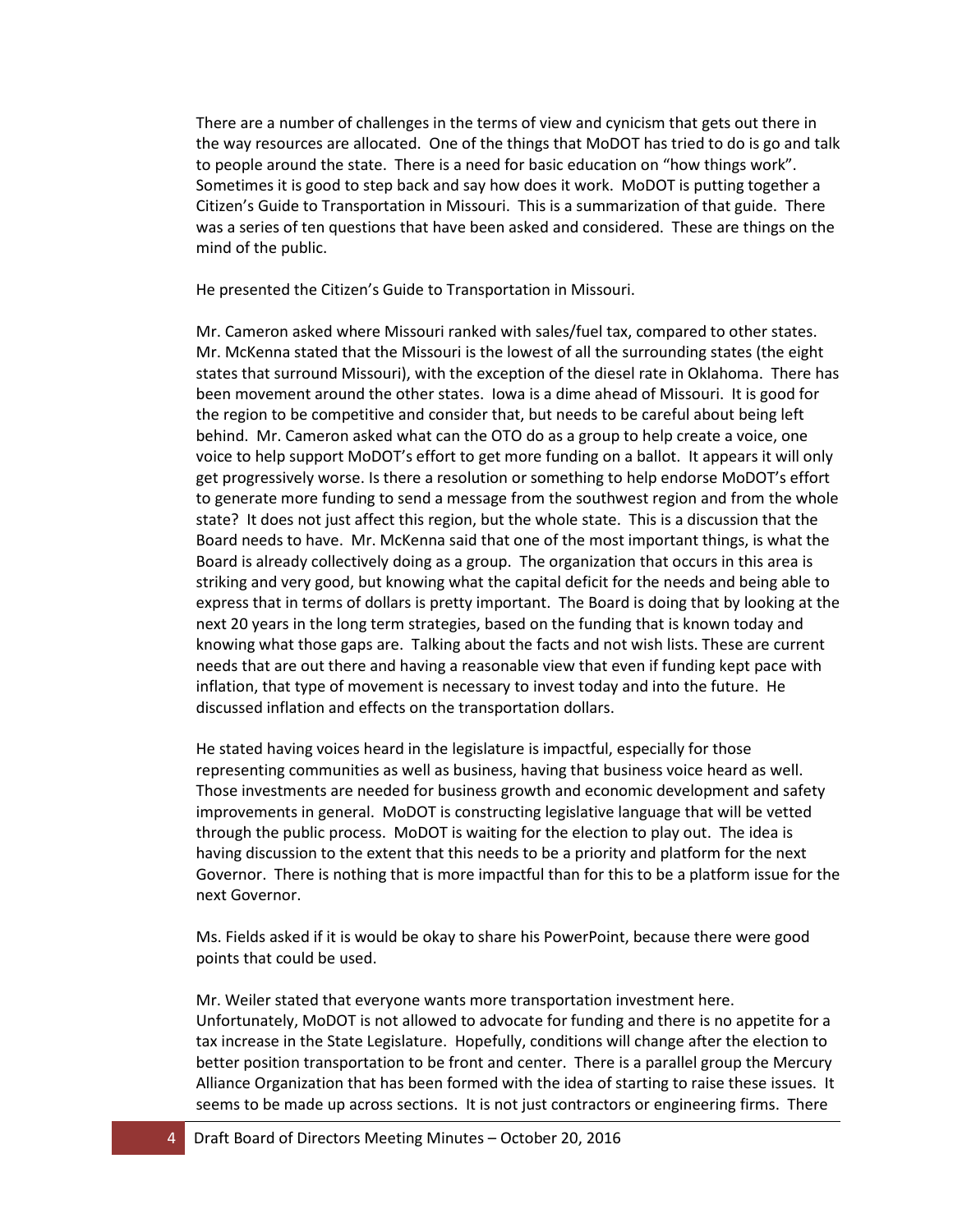There are a number of challenges in the terms of view and cynicism that gets out there in the way resources are allocated. One of the things that MoDOT has tried to do is go and talk to people around the state. There is a need for basic education on "how things work". Sometimes it is good to step back and say how does it work. MoDOT is putting together a Citizen's Guide to Transportation in Missouri. This is a summarization of that guide. There was a series of ten questions that have been asked and considered. These are things on the mind of the public.

He presented the Citizen's Guide to Transportation in Missouri.

Mr. Cameron asked where Missouri ranked with sales/fuel tax, compared to other states. Mr. McKenna stated that the Missouri is the lowest of all the surrounding states (the eight states that surround Missouri), with the exception of the diesel rate in Oklahoma. There has been movement around the other states. Iowa is a dime ahead of Missouri. It is good for the region to be competitive and consider that, but needs to be careful about being left behind. Mr. Cameron asked what can the OTO do as a group to help create a voice, one voice to help support MoDOT's effort to get more funding on a ballot. It appears it will only get progressively worse. Is there a resolution or something to help endorse MoDOT's effort to generate more funding to send a message from the southwest region and from the whole state? It does not just affect this region, but the whole state. This is a discussion that the Board needs to have. Mr. McKenna said that one of the most important things, is what the Board is already collectively doing as a group. The organization that occurs in this area is striking and very good, but knowing what the capital deficit for the needs and being able to express that in terms of dollars is pretty important. The Board is doing that by looking at the next 20 years in the long term strategies, based on the funding that is known today and knowing what those gaps are. Talking about the facts and not wish lists. These are current needs that are out there and having a reasonable view that even if funding kept pace with inflation, that type of movement is necessary to invest today and into the future. He discussed inflation and effects on the transportation dollars.

He stated having voices heard in the legislature is impactful, especially for those representing communities as well as business, having that business voice heard as well. Those investments are needed for business growth and economic development and safety improvements in general. MoDOT is constructing legislative language that will be vetted through the public process. MoDOT is waiting for the election to play out. The idea is having discussion to the extent that this needs to be a priority and platform for the next Governor. There is nothing that is more impactful than for this to be a platform issue for the next Governor.

Ms. Fields asked if it is would be okay to share his PowerPoint, because there were good points that could be used.

Mr. Weiler stated that everyone wants more transportation investment here. Unfortunately, MoDOT is not allowed to advocate for funding and there is no appetite for a tax increase in the State Legislature. Hopefully, conditions will change after the election to better position transportation to be front and center. There is a parallel group the Mercury Alliance Organization that has been formed with the idea of starting to raise these issues. It seems to be made up across sections. It is not just contractors or engineering firms. There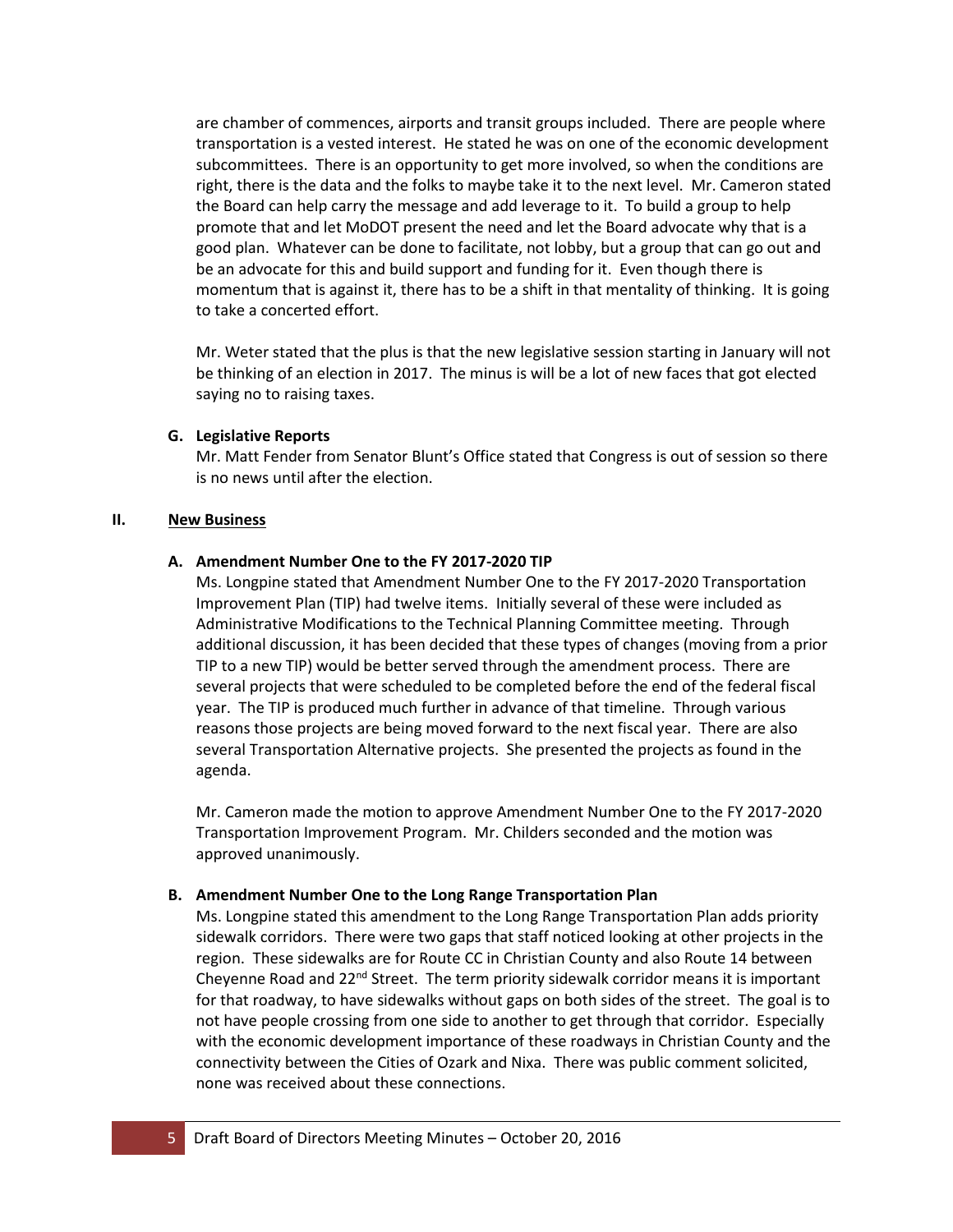are chamber of commences, airports and transit groups included. There are people where transportation is a vested interest. He stated he was on one of the economic development subcommittees. There is an opportunity to get more involved, so when the conditions are right, there is the data and the folks to maybe take it to the next level. Mr. Cameron stated the Board can help carry the message and add leverage to it. To build a group to help promote that and let MoDOT present the need and let the Board advocate why that is a good plan. Whatever can be done to facilitate, not lobby, but a group that can go out and be an advocate for this and build support and funding for it. Even though there is momentum that is against it, there has to be a shift in that mentality of thinking. It is going to take a concerted effort.

Mr. Weter stated that the plus is that the new legislative session starting in January will not be thinking of an election in 2017. The minus is will be a lot of new faces that got elected saying no to raising taxes.

## **G. Legislative Reports**

Mr. Matt Fender from Senator Blunt's Office stated that Congress is out of session so there is no news until after the election.

## **II. New Business**

## **A. Amendment Number One to the FY 2017-2020 TIP**

Ms. Longpine stated that Amendment Number One to the FY 2017-2020 Transportation Improvement Plan (TIP) had twelve items. Initially several of these were included as Administrative Modifications to the Technical Planning Committee meeting. Through additional discussion, it has been decided that these types of changes (moving from a prior TIP to a new TIP) would be better served through the amendment process. There are several projects that were scheduled to be completed before the end of the federal fiscal year. The TIP is produced much further in advance of that timeline. Through various reasons those projects are being moved forward to the next fiscal year. There are also several Transportation Alternative projects. She presented the projects as found in the agenda.

Mr. Cameron made the motion to approve Amendment Number One to the FY 2017-2020 Transportation Improvement Program. Mr. Childers seconded and the motion was approved unanimously.

# **B. Amendment Number One to the Long Range Transportation Plan**

Ms. Longpine stated this amendment to the Long Range Transportation Plan adds priority sidewalk corridors. There were two gaps that staff noticed looking at other projects in the region. These sidewalks are for Route CC in Christian County and also Route 14 between Cheyenne Road and  $22<sup>nd</sup>$  Street. The term priority sidewalk corridor means it is important for that roadway, to have sidewalks without gaps on both sides of the street. The goal is to not have people crossing from one side to another to get through that corridor. Especially with the economic development importance of these roadways in Christian County and the connectivity between the Cities of Ozark and Nixa. There was public comment solicited, none was received about these connections.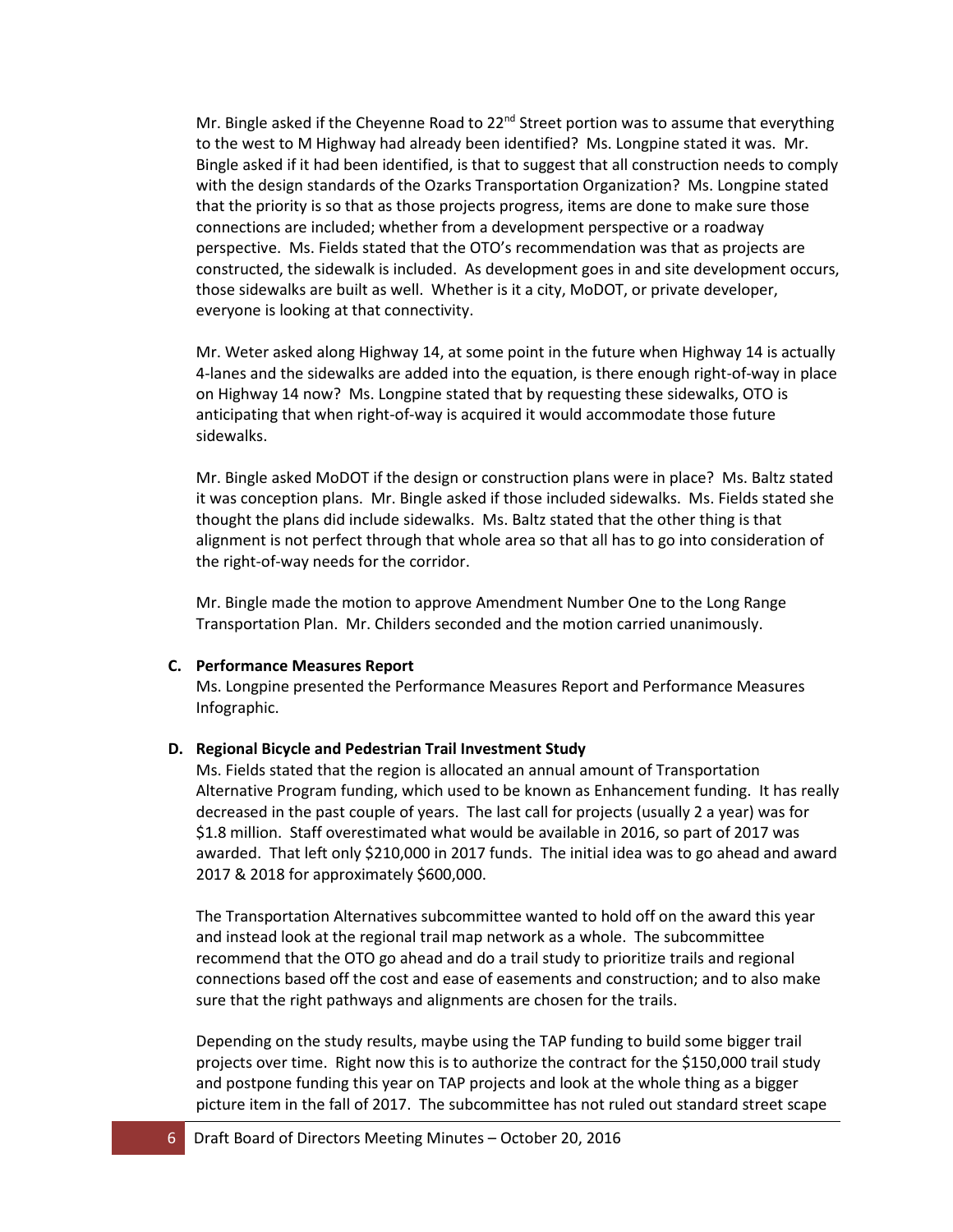Mr. Bingle asked if the Cheyenne Road to 22<sup>nd</sup> Street portion was to assume that everything to the west to M Highway had already been identified? Ms. Longpine stated it was. Mr. Bingle asked if it had been identified, is that to suggest that all construction needs to comply with the design standards of the Ozarks Transportation Organization? Ms. Longpine stated that the priority is so that as those projects progress, items are done to make sure those connections are included; whether from a development perspective or a roadway perspective. Ms. Fields stated that the OTO's recommendation was that as projects are constructed, the sidewalk is included. As development goes in and site development occurs, those sidewalks are built as well. Whether is it a city, MoDOT, or private developer, everyone is looking at that connectivity.

Mr. Weter asked along Highway 14, at some point in the future when Highway 14 is actually 4-lanes and the sidewalks are added into the equation, is there enough right-of-way in place on Highway 14 now? Ms. Longpine stated that by requesting these sidewalks, OTO is anticipating that when right-of-way is acquired it would accommodate those future sidewalks.

Mr. Bingle asked MoDOT if the design or construction plans were in place? Ms. Baltz stated it was conception plans. Mr. Bingle asked if those included sidewalks. Ms. Fields stated she thought the plans did include sidewalks. Ms. Baltz stated that the other thing is that alignment is not perfect through that whole area so that all has to go into consideration of the right-of-way needs for the corridor.

Mr. Bingle made the motion to approve Amendment Number One to the Long Range Transportation Plan. Mr. Childers seconded and the motion carried unanimously.

### **C. Performance Measures Report**

Ms. Longpine presented the Performance Measures Report and Performance Measures Infographic.

#### **D. Regional Bicycle and Pedestrian Trail Investment Study**

Ms. Fields stated that the region is allocated an annual amount of Transportation Alternative Program funding, which used to be known as Enhancement funding. It has really decreased in the past couple of years. The last call for projects (usually 2 a year) was for \$1.8 million. Staff overestimated what would be available in 2016, so part of 2017 was awarded. That left only \$210,000 in 2017 funds. The initial idea was to go ahead and award 2017 & 2018 for approximately \$600,000.

The Transportation Alternatives subcommittee wanted to hold off on the award this year and instead look at the regional trail map network as a whole. The subcommittee recommend that the OTO go ahead and do a trail study to prioritize trails and regional connections based off the cost and ease of easements and construction; and to also make sure that the right pathways and alignments are chosen for the trails.

Depending on the study results, maybe using the TAP funding to build some bigger trail projects over time. Right now this is to authorize the contract for the \$150,000 trail study and postpone funding this year on TAP projects and look at the whole thing as a bigger picture item in the fall of 2017. The subcommittee has not ruled out standard street scape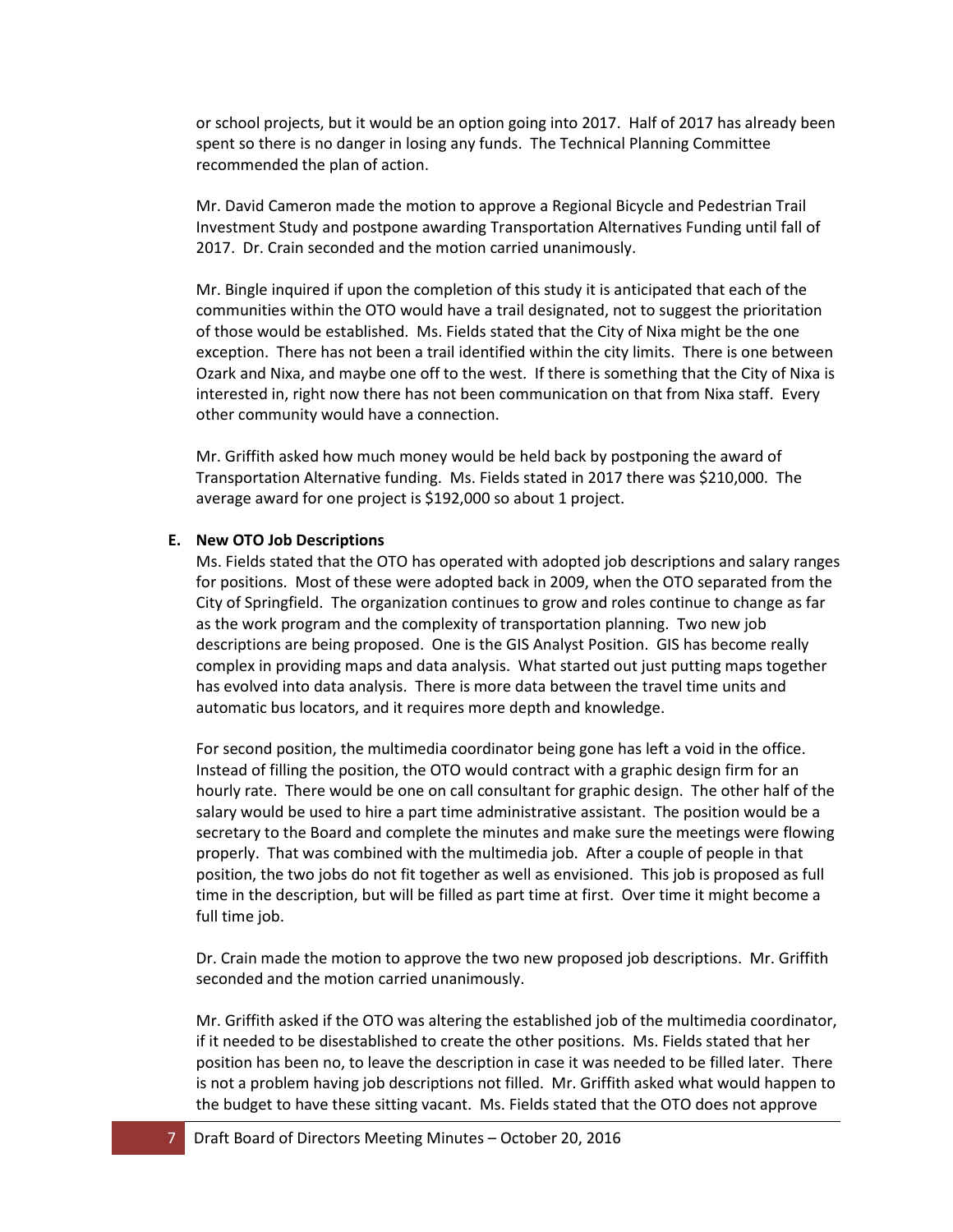or school projects, but it would be an option going into 2017. Half of 2017 has already been spent so there is no danger in losing any funds. The Technical Planning Committee recommended the plan of action.

Mr. David Cameron made the motion to approve a Regional Bicycle and Pedestrian Trail Investment Study and postpone awarding Transportation Alternatives Funding until fall of 2017. Dr. Crain seconded and the motion carried unanimously.

Mr. Bingle inquired if upon the completion of this study it is anticipated that each of the communities within the OTO would have a trail designated, not to suggest the prioritation of those would be established. Ms. Fields stated that the City of Nixa might be the one exception. There has not been a trail identified within the city limits. There is one between Ozark and Nixa, and maybe one off to the west. If there is something that the City of Nixa is interested in, right now there has not been communication on that from Nixa staff. Every other community would have a connection.

Mr. Griffith asked how much money would be held back by postponing the award of Transportation Alternative funding. Ms. Fields stated in 2017 there was \$210,000. The average award for one project is \$192,000 so about 1 project.

### **E. New OTO Job Descriptions**

Ms. Fields stated that the OTO has operated with adopted job descriptions and salary ranges for positions. Most of these were adopted back in 2009, when the OTO separated from the City of Springfield. The organization continues to grow and roles continue to change as far as the work program and the complexity of transportation planning. Two new job descriptions are being proposed. One is the GIS Analyst Position. GIS has become really complex in providing maps and data analysis. What started out just putting maps together has evolved into data analysis. There is more data between the travel time units and automatic bus locators, and it requires more depth and knowledge.

For second position, the multimedia coordinator being gone has left a void in the office. Instead of filling the position, the OTO would contract with a graphic design firm for an hourly rate. There would be one on call consultant for graphic design. The other half of the salary would be used to hire a part time administrative assistant. The position would be a secretary to the Board and complete the minutes and make sure the meetings were flowing properly. That was combined with the multimedia job. After a couple of people in that position, the two jobs do not fit together as well as envisioned. This job is proposed as full time in the description, but will be filled as part time at first. Over time it might become a full time job.

Dr. Crain made the motion to approve the two new proposed job descriptions. Mr. Griffith seconded and the motion carried unanimously.

Mr. Griffith asked if the OTO was altering the established job of the multimedia coordinator, if it needed to be disestablished to create the other positions. Ms. Fields stated that her position has been no, to leave the description in case it was needed to be filled later. There is not a problem having job descriptions not filled. Mr. Griffith asked what would happen to the budget to have these sitting vacant. Ms. Fields stated that the OTO does not approve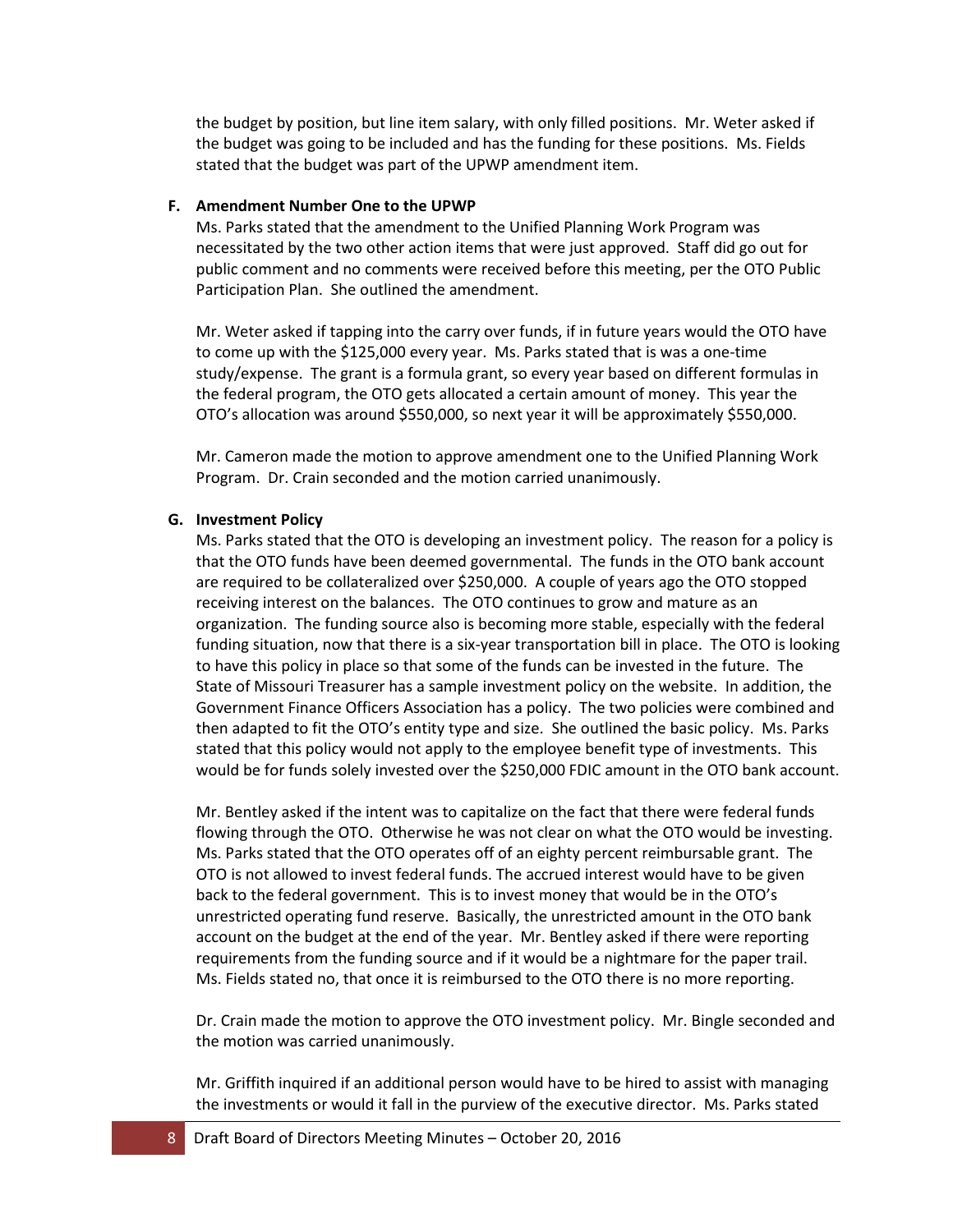the budget by position, but line item salary, with only filled positions. Mr. Weter asked if the budget was going to be included and has the funding for these positions. Ms. Fields stated that the budget was part of the UPWP amendment item.

#### **F. Amendment Number One to the UPWP**

Ms. Parks stated that the amendment to the Unified Planning Work Program was necessitated by the two other action items that were just approved. Staff did go out for public comment and no comments were received before this meeting, per the OTO Public Participation Plan. She outlined the amendment.

Mr. Weter asked if tapping into the carry over funds, if in future years would the OTO have to come up with the \$125,000 every year. Ms. Parks stated that is was a one-time study/expense. The grant is a formula grant, so every year based on different formulas in the federal program, the OTO gets allocated a certain amount of money. This year the OTO's allocation was around \$550,000, so next year it will be approximately \$550,000.

Mr. Cameron made the motion to approve amendment one to the Unified Planning Work Program. Dr. Crain seconded and the motion carried unanimously.

#### **G. Investment Policy**

Ms. Parks stated that the OTO is developing an investment policy. The reason for a policy is that the OTO funds have been deemed governmental. The funds in the OTO bank account are required to be collateralized over \$250,000. A couple of years ago the OTO stopped receiving interest on the balances. The OTO continues to grow and mature as an organization. The funding source also is becoming more stable, especially with the federal funding situation, now that there is a six-year transportation bill in place. The OTO is looking to have this policy in place so that some of the funds can be invested in the future. The State of Missouri Treasurer has a sample investment policy on the website. In addition, the Government Finance Officers Association has a policy. The two policies were combined and then adapted to fit the OTO's entity type and size. She outlined the basic policy. Ms. Parks stated that this policy would not apply to the employee benefit type of investments. This would be for funds solely invested over the \$250,000 FDIC amount in the OTO bank account.

Mr. Bentley asked if the intent was to capitalize on the fact that there were federal funds flowing through the OTO. Otherwise he was not clear on what the OTO would be investing. Ms. Parks stated that the OTO operates off of an eighty percent reimbursable grant. The OTO is not allowed to invest federal funds. The accrued interest would have to be given back to the federal government. This is to invest money that would be in the OTO's unrestricted operating fund reserve. Basically, the unrestricted amount in the OTO bank account on the budget at the end of the year. Mr. Bentley asked if there were reporting requirements from the funding source and if it would be a nightmare for the paper trail. Ms. Fields stated no, that once it is reimbursed to the OTO there is no more reporting.

Dr. Crain made the motion to approve the OTO investment policy. Mr. Bingle seconded and the motion was carried unanimously.

Mr. Griffith inquired if an additional person would have to be hired to assist with managing the investments or would it fall in the purview of the executive director. Ms. Parks stated